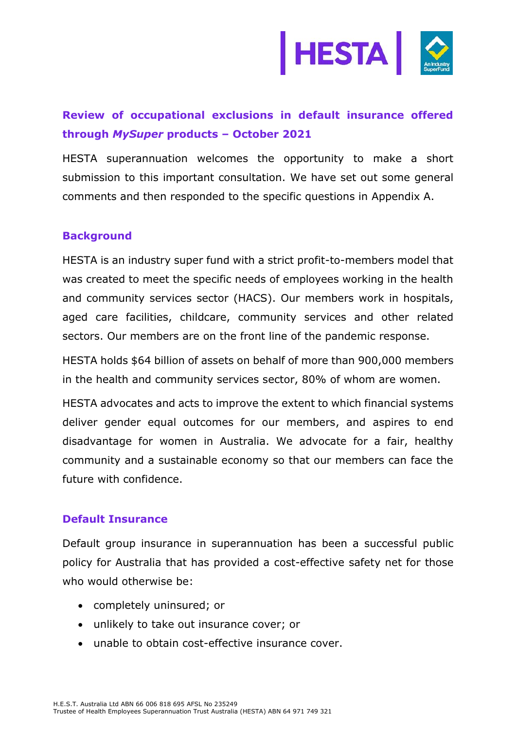

# **Review of occupational exclusions in default insurance offered through** *MySuper* **products – October 2021**

HESTA superannuation welcomes the opportunity to make a short submission to this important consultation. We have set out some general comments and then responded to the specific questions in Appendix A.

#### **Background**

HESTA is an industry super fund with a strict profit-to-members model that was created to meet the specific needs of employees working in the health and community services sector (HACS). Our members work in hospitals, aged care facilities, childcare, community services and other related sectors. Our members are on the front line of the pandemic response.

HESTA holds \$64 billion of assets on behalf of more than 900,000 members in the health and community services sector, 80% of whom are women.

HESTA advocates and acts to improve the extent to which financial systems deliver gender equal outcomes for our members, and aspires to end disadvantage for women in Australia. We advocate for a fair, healthy community and a sustainable economy so that our members can face the future with confidence.

## **Default Insurance**

Default group insurance in superannuation has been a successful public policy for Australia that has provided a cost-effective safety net for those who would otherwise be:

- completely uninsured; or
- unlikely to take out insurance cover; or
- unable to obtain cost-effective insurance cover.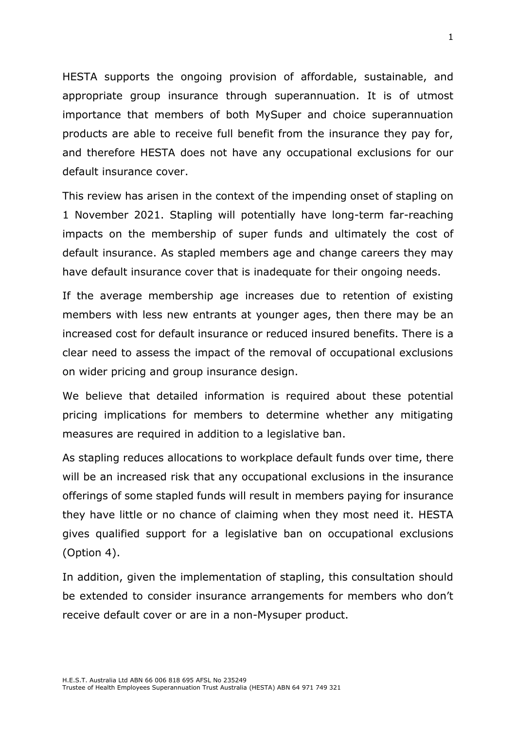HESTA supports the ongoing provision of affordable, sustainable, and appropriate group insurance through superannuation. It is of utmost importance that members of both MySuper and choice superannuation products are able to receive full benefit from the insurance they pay for, and therefore HESTA does not have any occupational exclusions for our default insurance cover.

This review has arisen in the context of the impending onset of stapling on 1 November 2021. Stapling will potentially have long-term far-reaching impacts on the membership of super funds and ultimately the cost of default insurance. As stapled members age and change careers they may have default insurance cover that is inadequate for their ongoing needs.

If the average membership age increases due to retention of existing members with less new entrants at younger ages, then there may be an increased cost for default insurance or reduced insured benefits. There is a clear need to assess the impact of the removal of occupational exclusions on wider pricing and group insurance design.

We believe that detailed information is required about these potential pricing implications for members to determine whether any mitigating measures are required in addition to a legislative ban.

As stapling reduces allocations to workplace default funds over time, there will be an increased risk that any occupational exclusions in the insurance offerings of some stapled funds will result in members paying for insurance they have little or no chance of claiming when they most need it. HESTA gives qualified support for a legislative ban on occupational exclusions (Option 4).

In addition, given the implementation of stapling, this consultation should be extended to consider insurance arrangements for members who don't receive default cover or are in a non-Mysuper product.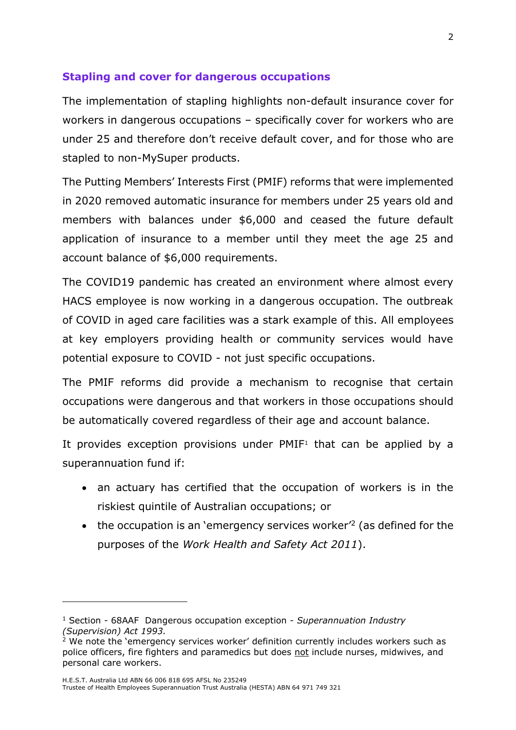### **Stapling and cover for dangerous occupations**

The implementation of stapling highlights non-default insurance cover for workers in dangerous occupations – specifically cover for workers who are under 25 and therefore don't receive default cover, and for those who are stapled to non-MySuper products.

The Putting Members' Interests First (PMIF) reforms that were implemented in 2020 removed automatic insurance for members under 25 years old and members with balances under \$6,000 and ceased the future default application of insurance to a member until they meet the age 25 and account balance of \$6,000 requirements.

The COVID19 pandemic has created an environment where almost every HACS employee is now working in a dangerous occupation. The outbreak of COVID in aged care facilities was a stark example of this. All employees at key employers providing health or community services would have potential exposure to COVID - not just specific occupations.

The PMIF reforms did provide a mechanism to recognise that certain occupations were dangerous and that workers in those occupations should be automatically covered regardless of their age and account balance.

It provides exception provisions under  $PMIF<sup>1</sup>$  that can be applied by a superannuation fund if:

- an actuary has certified that the occupation of workers is in the riskiest quintile of Australian occupations; or
- $\bullet$  the occupation is an 'emergency services worker<sup>'2</sup> (as defined for the purposes of the *Work Health and Safety Act 2011*).

<sup>1</sup> Section - 68AAF Dangerous occupation exception - *Superannuation Industry (Supervision) Act 1993.*

 $2$  We note the 'emergency services worker' definition currently includes workers such as police officers, fire fighters and paramedics but does not include nurses, midwives, and personal care workers.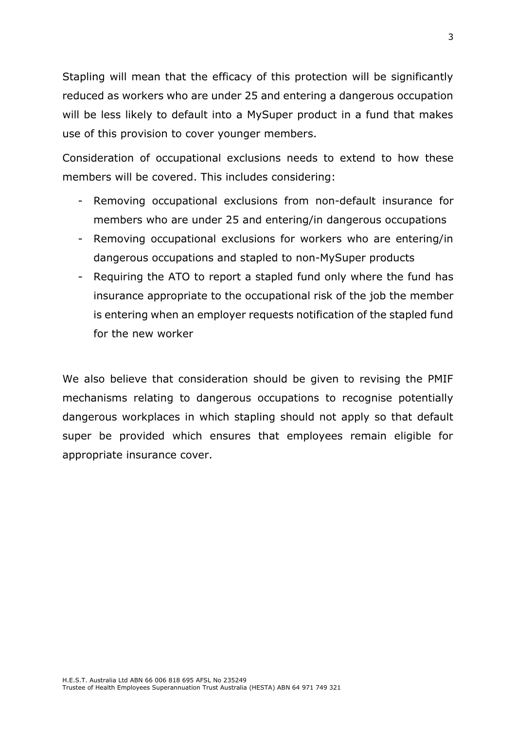Stapling will mean that the efficacy of this protection will be significantly reduced as workers who are under 25 and entering a dangerous occupation will be less likely to default into a MySuper product in a fund that makes use of this provision to cover younger members.

Consideration of occupational exclusions needs to extend to how these members will be covered. This includes considering:

- Removing occupational exclusions from non-default insurance for members who are under 25 and entering/in dangerous occupations
- Removing occupational exclusions for workers who are entering/in dangerous occupations and stapled to non-MySuper products
- Requiring the ATO to report a stapled fund only where the fund has insurance appropriate to the occupational risk of the job the member is entering when an employer requests notification of the stapled fund for the new worker

We also believe that consideration should be given to revising the PMIF mechanisms relating to dangerous occupations to recognise potentially dangerous workplaces in which stapling should not apply so that default super be provided which ensures that employees remain eligible for appropriate insurance cover.